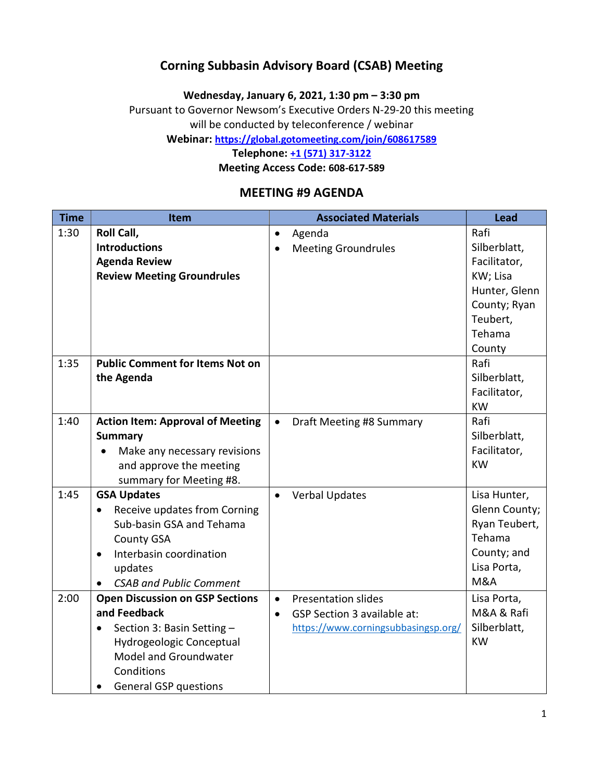### Corning Subbasin Advisory Board (CSAB) Meeting

Wednesday, January 6, 2021, 1:30 pm – 3:30 pm

Pursuant to Governor Newsom's Executive Orders N-29-20 this meeting will be conducted by teleconference / webinar

Webinar: https://global.gotomeeting.com/join/608617589

Telephone: +1 (571) 317-3122

Meeting Access Code: 608-617-589

#### MEETING #9 AGENDA

| <b>Time</b> | <b>Item</b>                               |           | <b>Associated Materials</b>         | <b>Lead</b>    |
|-------------|-------------------------------------------|-----------|-------------------------------------|----------------|
| 1:30        | Roll Call,                                | $\bullet$ | Agenda                              | Rafi           |
|             | <b>Introductions</b>                      |           | <b>Meeting Groundrules</b>          | Silberblatt,   |
|             | <b>Agenda Review</b>                      |           |                                     | Facilitator,   |
|             | <b>Review Meeting Groundrules</b>         |           |                                     | KW; Lisa       |
|             |                                           |           |                                     | Hunter, Glenn  |
|             |                                           |           |                                     | County; Ryan   |
|             |                                           |           |                                     | Teubert,       |
|             |                                           |           |                                     | Tehama         |
|             |                                           |           |                                     | County         |
| 1:35        | <b>Public Comment for Items Not on</b>    |           |                                     | Rafi           |
|             | the Agenda                                |           |                                     | Silberblatt,   |
|             |                                           |           |                                     | Facilitator,   |
|             |                                           |           |                                     | <b>KW</b>      |
| 1:40        | <b>Action Item: Approval of Meeting</b>   | $\bullet$ | Draft Meeting #8 Summary            | Rafi           |
|             | <b>Summary</b>                            |           |                                     | Silberblatt,   |
|             | Make any necessary revisions              |           |                                     | Facilitator,   |
|             | and approve the meeting                   |           |                                     | <b>KW</b>      |
|             | summary for Meeting #8.                   |           |                                     |                |
| 1:45        | <b>GSA Updates</b>                        | $\bullet$ | <b>Verbal Updates</b>               | Lisa Hunter,   |
|             | Receive updates from Corning<br>$\bullet$ |           |                                     | Glenn County;  |
|             | Sub-basin GSA and Tehama                  |           |                                     | Ryan Teubert,  |
|             | <b>County GSA</b>                         |           |                                     | Tehama         |
|             | Interbasin coordination<br>$\bullet$      |           |                                     | County; and    |
|             | updates                                   |           |                                     | Lisa Porta,    |
|             | <b>CSAB and Public Comment</b>            |           |                                     | <b>M&amp;A</b> |
| 2:00        | <b>Open Discussion on GSP Sections</b>    | $\bullet$ | <b>Presentation slides</b>          | Lisa Porta,    |
|             | and Feedback                              | $\bullet$ | <b>GSP Section 3 available at:</b>  | M&A & Rafi     |
|             | Section 3: Basin Setting -<br>$\bullet$   |           | https://www.corningsubbasingsp.org/ | Silberblatt,   |
|             | Hydrogeologic Conceptual                  |           |                                     | <b>KW</b>      |
|             | Model and Groundwater                     |           |                                     |                |
|             | Conditions                                |           |                                     |                |
|             | <b>General GSP questions</b>              |           |                                     |                |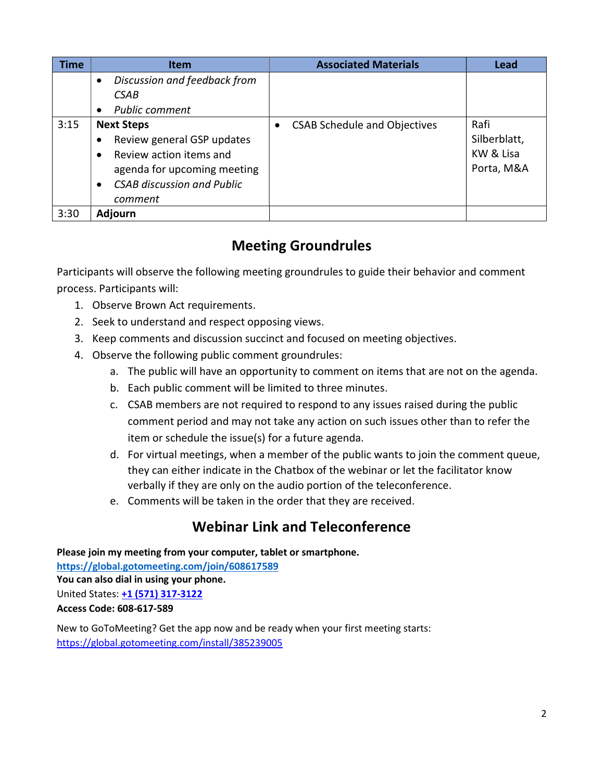| <b>Time</b> | <b>Item</b>                                                                                                                                                                         | <b>Associated Materials</b>         | <b>Lead</b>                                     |
|-------------|-------------------------------------------------------------------------------------------------------------------------------------------------------------------------------------|-------------------------------------|-------------------------------------------------|
|             | Discussion and feedback from<br>$\bullet$<br>CSAB<br><b>Public comment</b><br>$\bullet$                                                                                             |                                     |                                                 |
| 3:15        | <b>Next Steps</b><br>Review general GSP updates<br>Review action items and<br>$\bullet$<br>agenda for upcoming meeting<br><b>CSAB discussion and Public</b><br>$\bullet$<br>comment | <b>CSAB Schedule and Objectives</b> | Rafi<br>Silberblatt,<br>KW & Lisa<br>Porta, M&A |
| 3:30        | <b>Adjourn</b>                                                                                                                                                                      |                                     |                                                 |

# Meeting Groundrules

Participants will observe the following meeting groundrules to guide their behavior and comment process. Participants will:

- 1. Observe Brown Act requirements.
- 2. Seek to understand and respect opposing views.
- 3. Keep comments and discussion succinct and focused on meeting objectives.
- 4. Observe the following public comment groundrules:
	- a. The public will have an opportunity to comment on items that are not on the agenda.
	- b. Each public comment will be limited to three minutes.
	- c. CSAB members are not required to respond to any issues raised during the public comment period and may not take any action on such issues other than to refer the item or schedule the issue(s) for a future agenda.
	- d. For virtual meetings, when a member of the public wants to join the comment queue, they can either indicate in the Chatbox of the webinar or let the facilitator know verbally if they are only on the audio portion of the teleconference.
	- e. Comments will be taken in the order that they are received.

## Webinar Link and Teleconference

Please join my meeting from your computer, tablet or smartphone. https://global.gotomeeting.com/join/608617589 You can also dial in using your phone. United States: +1 (571) 317-3122 Access Code: 608-617-589

New to GoToMeeting? Get the app now and be ready when your first meeting starts: https://global.gotomeeting.com/install/385239005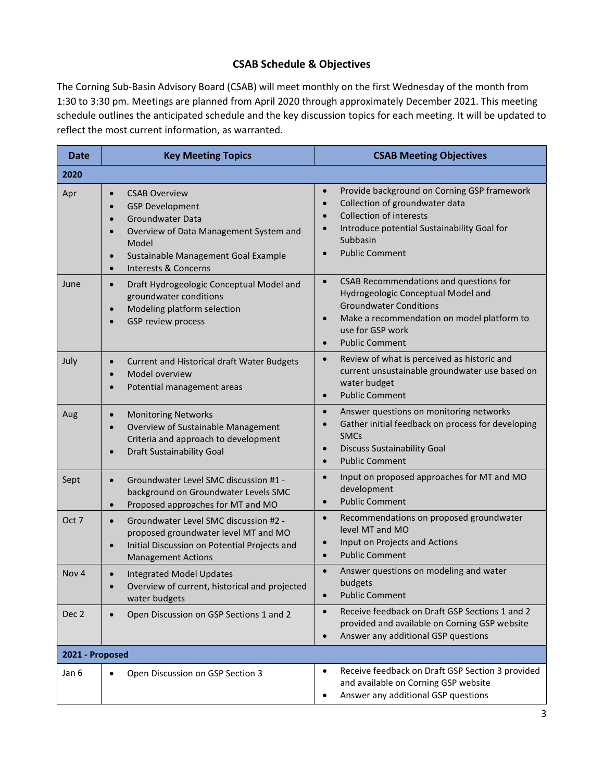### CSAB Schedule & Objectives

The Corning Sub-Basin Advisory Board (CSAB) will meet monthly on the first Wednesday of the month from 1:30 to 3:30 pm. Meetings are planned from April 2020 through approximately December 2021. This meeting schedule outlines the anticipated schedule and the key discussion topics for each meeting. It will be updated to reflect the most current information, as warranted.

| <b>Date</b>      | <b>Key Meeting Topics</b>                                                                                                                                                                                                                                                            | <b>CSAB Meeting Objectives</b>                                                                                                                                                                                                                  |  |  |
|------------------|--------------------------------------------------------------------------------------------------------------------------------------------------------------------------------------------------------------------------------------------------------------------------------------|-------------------------------------------------------------------------------------------------------------------------------------------------------------------------------------------------------------------------------------------------|--|--|
| 2020             |                                                                                                                                                                                                                                                                                      |                                                                                                                                                                                                                                                 |  |  |
| Apr              | <b>CSAB Overview</b><br>$\bullet$<br><b>GSP Development</b><br>$\bullet$<br><b>Groundwater Data</b><br>$\bullet$<br>Overview of Data Management System and<br>$\bullet$<br>Model<br>Sustainable Management Goal Example<br>$\bullet$<br><b>Interests &amp; Concerns</b><br>$\bullet$ | Provide background on Corning GSP framework<br>$\bullet$<br>Collection of groundwater data<br>$\bullet$<br><b>Collection of interests</b><br>Introduce potential Sustainability Goal for<br>$\bullet$<br>Subbasin<br><b>Public Comment</b>      |  |  |
| June             | Draft Hydrogeologic Conceptual Model and<br>$\bullet$<br>groundwater conditions<br>Modeling platform selection<br>$\bullet$<br>GSP review process<br>$\bullet$                                                                                                                       | CSAB Recommendations and questions for<br>$\bullet$<br>Hydrogeologic Conceptual Model and<br><b>Groundwater Conditions</b><br>Make a recommendation on model platform to<br>$\bullet$<br>use for GSP work<br><b>Public Comment</b><br>$\bullet$ |  |  |
| July             | Current and Historical draft Water Budgets<br>$\bullet$<br>Model overview<br>$\bullet$<br>Potential management areas<br>$\bullet$                                                                                                                                                    | Review of what is perceived as historic and<br>$\bullet$<br>current unsustainable groundwater use based on<br>water budget<br><b>Public Comment</b><br>$\bullet$                                                                                |  |  |
| Aug              | <b>Monitoring Networks</b><br>$\bullet$<br>Overview of Sustainable Management<br>$\bullet$<br>Criteria and approach to development<br><b>Draft Sustainability Goal</b><br>$\bullet$                                                                                                  | Answer questions on monitoring networks<br>$\bullet$<br>Gather initial feedback on process for developing<br><b>SMCs</b><br><b>Discuss Sustainability Goal</b><br>$\bullet$<br><b>Public Comment</b><br>$\bullet$                               |  |  |
| Sept             | Groundwater Level SMC discussion #1 -<br>$\bullet$<br>background on Groundwater Levels SMC<br>Proposed approaches for MT and MO<br>$\bullet$                                                                                                                                         | Input on proposed approaches for MT and MO<br>$\bullet$<br>development<br><b>Public Comment</b><br>$\bullet$                                                                                                                                    |  |  |
| Oct 7            | Groundwater Level SMC discussion #2 -<br>$\bullet$<br>proposed groundwater level MT and MO<br>Initial Discussion on Potential Projects and<br>$\bullet$<br><b>Management Actions</b>                                                                                                 | Recommendations on proposed groundwater<br>$\bullet$<br>level MT and MO<br>Input on Projects and Actions<br><b>Public Comment</b><br>$\bullet$                                                                                                  |  |  |
| Nov <sub>4</sub> | <b>Integrated Model Updates</b><br>$\bullet$<br>Overview of current, historical and projected<br>water budgets                                                                                                                                                                       | Answer questions on modeling and water<br>budgets<br><b>Public Comment</b><br>$\bullet$                                                                                                                                                         |  |  |
| Dec 2            | Open Discussion on GSP Sections 1 and 2<br>$\bullet$                                                                                                                                                                                                                                 | Receive feedback on Draft GSP Sections 1 and 2<br>$\bullet$<br>provided and available on Corning GSP website<br>Answer any additional GSP questions<br>$\bullet$                                                                                |  |  |
| 2021 - Proposed  |                                                                                                                                                                                                                                                                                      |                                                                                                                                                                                                                                                 |  |  |
| Jan 6            | Open Discussion on GSP Section 3<br>$\bullet$                                                                                                                                                                                                                                        | Receive feedback on Draft GSP Section 3 provided<br>$\bullet$<br>and available on Corning GSP website<br>Answer any additional GSP questions<br>$\bullet$                                                                                       |  |  |